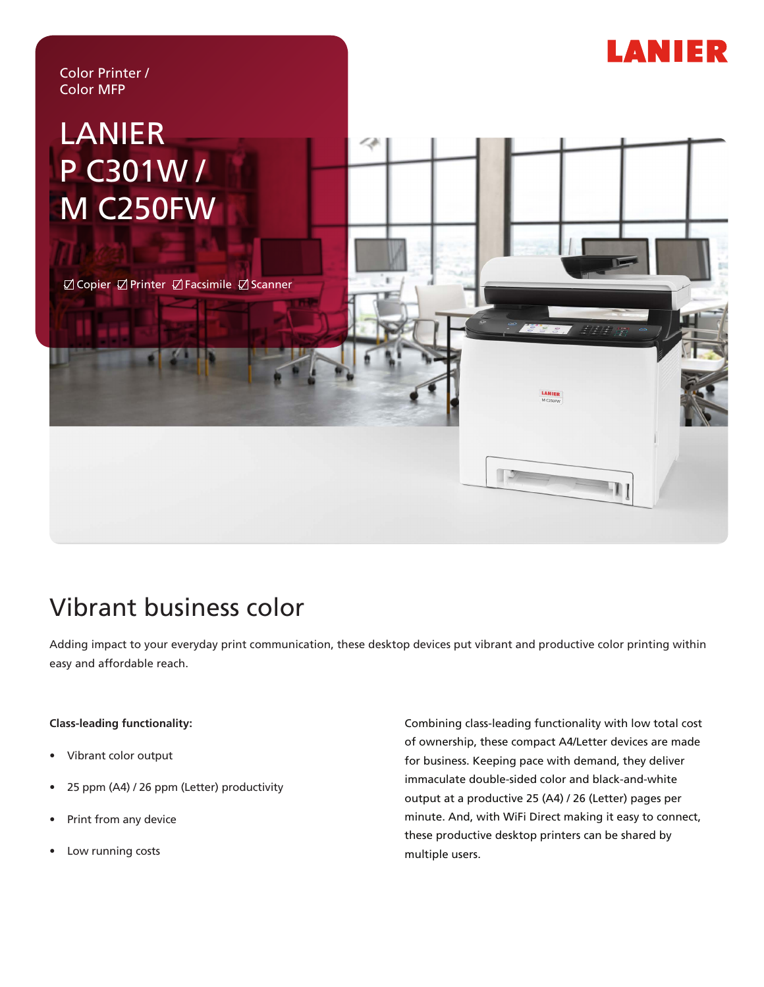

# Vibrant business color

Adding impact to your everyday print communication, these desktop devices put vibrant and productive color printing within easy and affordable reach.

### **Class-leading functionality:**

- Vibrant color output
- 25 ppm (A4) / 26 ppm (Letter) productivity
- Print from any device
- Low running costs

Combining class-leading functionality with low total cost of ownership, these compact A4/Letter devices are made for business. Keeping pace with demand, they deliver immaculate double-sided color and black-and-white output at a productive 25 (A4) / 26 (Letter) pages per minute. And, with WiFi Direct making it easy to connect, these productive desktop printers can be shared by multiple users.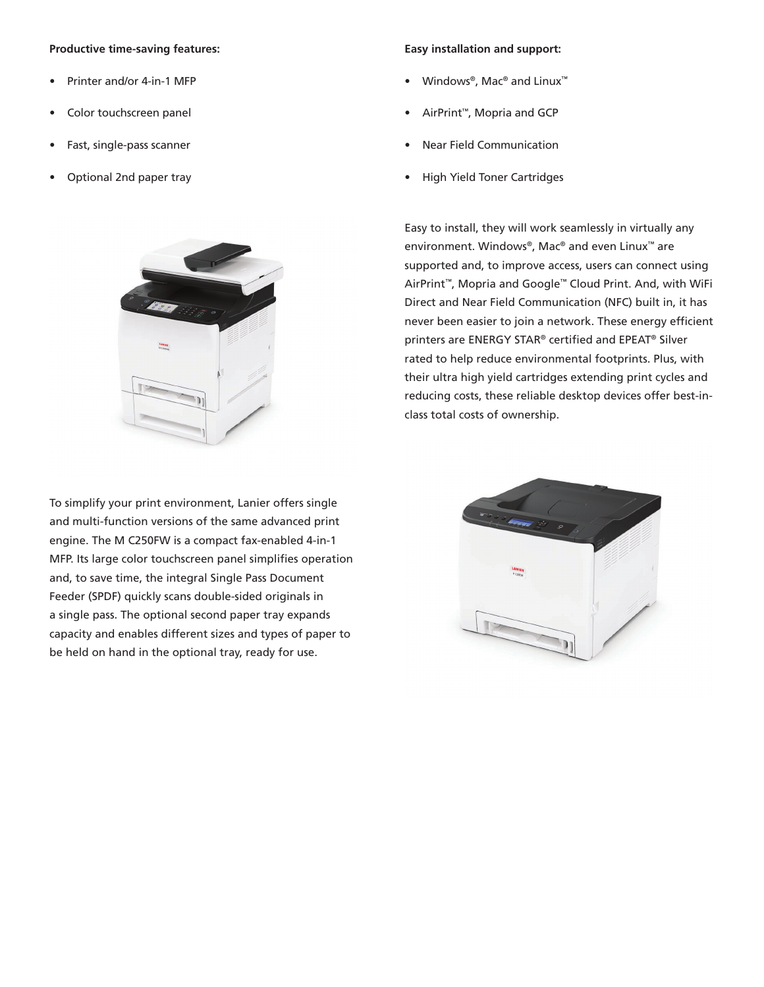#### **Productive time-saving features:**

- Printer and/or 4-in-1 MFP
- Color touchscreen panel
- Fast, single-pass scanner
- Optional 2nd paper tray



To simplify your print environment, Lanier offers single and multi-function versions of the same advanced print engine. The M C250FW is a compact fax-enabled 4-in-1 MFP. Its large color touchscreen panel simplifies operation and, to save time, the integral Single Pass Document Feeder (SPDF) quickly scans double-sided originals in a single pass. The optional second paper tray expands capacity and enables different sizes and types of paper to be held on hand in the optional tray, ready for use.

#### **Easy installation and support:**

- Windows®, Mac® and Linux™
- AirPrint™, Mopria and GCP
- Near Field Communication
- High Yield Toner Cartridges

Easy to install, they will work seamlessly in virtually any environment. Windows®, Mac® and even Linux™ are supported and, to improve access, users can connect using AirPrint™, Mopria and Google™ Cloud Print. And, with WiFi Direct and Near Field Communication (NFC) built in, it has never been easier to join a network. These energy efficient printers are ENERGY STAR® certified and EPEAT® Silver rated to help reduce environmental footprints. Plus, with their ultra high yield cartridges extending print cycles and reducing costs, these reliable desktop devices offer best-inclass total costs of ownership.

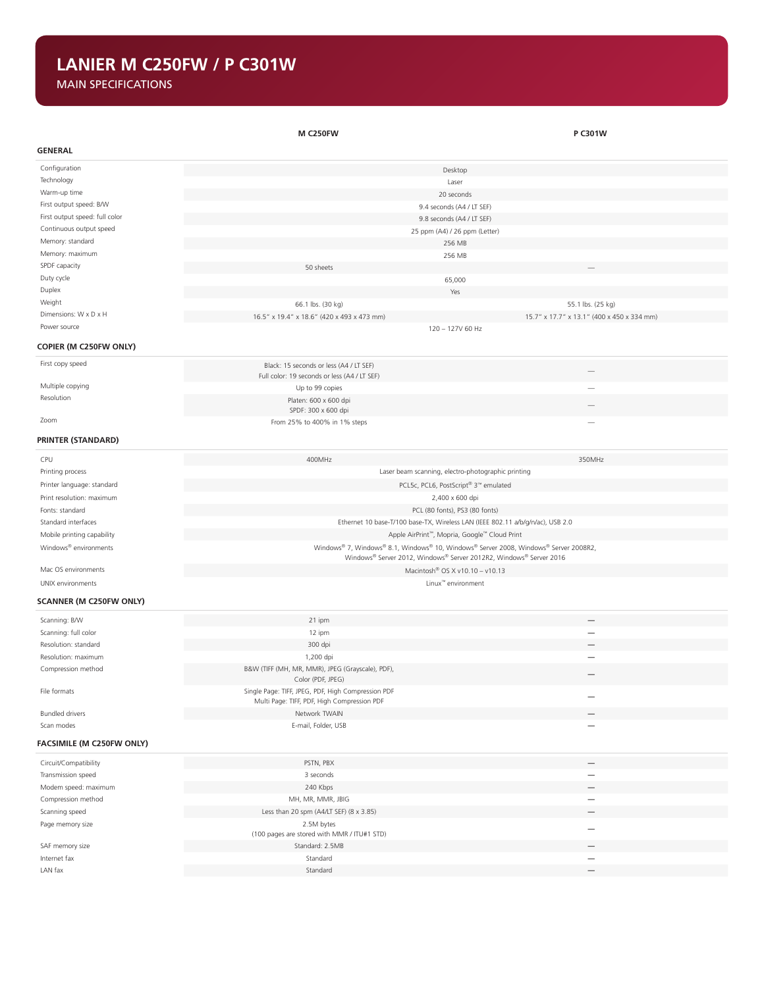## **LANIER M C250FW / P C301W**

MAIN SPECIFICATIONS

|                                   | <b>M C250FW</b>                                                                      | P C301W                                                                        |  |  |
|-----------------------------------|--------------------------------------------------------------------------------------|--------------------------------------------------------------------------------|--|--|
| <b>GENERAL</b>                    |                                                                                      |                                                                                |  |  |
| Configuration                     |                                                                                      | Desktop                                                                        |  |  |
| Technology                        |                                                                                      | Laser                                                                          |  |  |
| Warm-up time                      |                                                                                      | 20 seconds                                                                     |  |  |
| First output speed: B/W           |                                                                                      | 9.4 seconds (A4 / LT SEF)                                                      |  |  |
| First output speed: full color    |                                                                                      | 9.8 seconds (A4 / LT SEF)                                                      |  |  |
| Continuous output speed           |                                                                                      | 25 ppm (A4) / 26 ppm (Letter)                                                  |  |  |
| Memory: standard                  |                                                                                      | 256 MB                                                                         |  |  |
| Memory: maximum                   |                                                                                      | 256 MB                                                                         |  |  |
| SPDF capacity                     | 50 sheets                                                                            |                                                                                |  |  |
| Duty cycle                        |                                                                                      | 65,000                                                                         |  |  |
| Duplex                            |                                                                                      | Yes                                                                            |  |  |
| Weight                            | 66.1 lbs. (30 kg)                                                                    | 55.1 lbs. (25 kg)                                                              |  |  |
| Dimensions: W x D x H             | 16.5" x 19.4" x 18.6" (420 x 493 x 473 mm)                                           | 15.7" x 17.7" x 13.1" (400 x 450 x 334 mm)                                     |  |  |
| Power source                      |                                                                                      | 120 - 127V 60 Hz                                                               |  |  |
| <b>COPIER (M C250FW ONLY)</b>     |                                                                                      |                                                                                |  |  |
| First copy speed                  | Black: 15 seconds or less (A4 / LT SEF)                                              |                                                                                |  |  |
| Multiple copying                  | Full color: 19 seconds or less (A4 / LT SEF)                                         |                                                                                |  |  |
| Resolution                        | Up to 99 copies<br>Platen: 600 x 600 dpi                                             |                                                                                |  |  |
|                                   | SPDF: 300 x 600 dpi                                                                  |                                                                                |  |  |
| Zoom                              | From 25% to 400% in 1% steps                                                         |                                                                                |  |  |
| <b>PRINTER (STANDARD)</b>         |                                                                                      |                                                                                |  |  |
| CPU                               | 400MHz                                                                               | 350MHz                                                                         |  |  |
| Printing process                  | Laser beam scanning, electro-photographic printing                                   |                                                                                |  |  |
| Printer language: standard        |                                                                                      | PCL5c, PCL6, PostScript® 3 <sup>m</sup> emulated                               |  |  |
| Print resolution: maximum         |                                                                                      | 2,400 x 600 dpi                                                                |  |  |
| Fonts: standard                   |                                                                                      | PCL (80 fonts), PS3 (80 fonts)                                                 |  |  |
| Standard interfaces               |                                                                                      | Ethernet 10 base-T/100 base-TX, Wireless LAN (IEEE 802.11 a/b/g/n/ac), USB 2.0 |  |  |
| Mobile printing capability        |                                                                                      | Apple AirPrint™, Mopria, Google™ Cloud Print                                   |  |  |
| Windows <sup>®</sup> environments | Windows® 7, Windows® 8.1, Windows® 10, Windows® Server 2008, Windows® Server 2008R2, |                                                                                |  |  |
|                                   |                                                                                      | Windows® Server 2012, Windows® Server 2012R2, Windows® Server 2016             |  |  |
| Mac OS environments               | Macintosh <sup>®</sup> OS X v10.10 - v10.13                                          |                                                                                |  |  |
| UNIX environments                 | Linux <sup>™</sup> environment                                                       |                                                                                |  |  |
| SCANNER (M C250FW ONLY)           |                                                                                      |                                                                                |  |  |
| Scanning: B/W                     | 21 ipm                                                                               |                                                                                |  |  |
| Scanning: full color              | 12 ipm                                                                               | $\overline{\phantom{0}}$                                                       |  |  |
| Resolution: standard              | 300 dpi                                                                              |                                                                                |  |  |
| Resolution: maximum               | 1,200 dpi                                                                            |                                                                                |  |  |
| Compression method                | B&W (TIFF (MH, MR, MMR), JPEG (Grayscale), PDF),<br>Color (PDF, JPEG)                |                                                                                |  |  |
| File formats                      | Single Page: TIFF, JPEG, PDF, High Compression PDF                                   |                                                                                |  |  |
| <b>Bundled drivers</b>            | Multi Page: TIFF, PDF, High Compression PDF<br>Network TWAIN                         |                                                                                |  |  |
| Scan modes                        | E-mail, Folder, USB                                                                  | —                                                                              |  |  |
|                                   |                                                                                      |                                                                                |  |  |
| FACSIMILE (M C250FW ONLY)         |                                                                                      |                                                                                |  |  |
| Circuit/Compatibility             | PSTN, PBX                                                                            |                                                                                |  |  |
| Transmission speed                | 3 seconds                                                                            | $\overbrace{\phantom{1232211}}$                                                |  |  |
| Modem speed: maximum              | 240 Kbps                                                                             |                                                                                |  |  |
| Compression method                | MH, MR, MMR, JBIG                                                                    |                                                                                |  |  |
| Scanning speed                    | Less than 20 spm (A4/LT SEF) (8 x 3.85)                                              |                                                                                |  |  |
| Page memory size                  | 2.5M bytes<br>(100 pages are stored with MMR / ITU#1 STD)                            |                                                                                |  |  |
| SAF memory size                   | Standard: 2.5MB                                                                      | $\overline{\phantom{0}}$                                                       |  |  |
| Internet fax                      | Standard                                                                             | $\overline{\phantom{0}}$                                                       |  |  |
| LAN fax                           | Standard                                                                             |                                                                                |  |  |